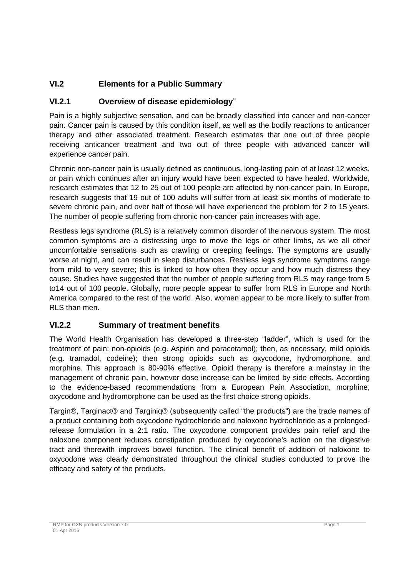# **VI.2 Elements for a Public Summary**

## **VI.2.1 Overview of disease epidemiology¨**

Pain is a highly subjective sensation, and can be broadly classified into cancer and non-cancer pain. Cancer pain is caused by this condition itself, as well as the bodily reactions to anticancer therapy and other associated treatment. Research estimates that one out of three people receiving anticancer treatment and two out of three people with advanced cancer will experience cancer pain.

Chronic non-cancer pain is usually defined as continuous, long-lasting pain of at least 12 weeks, or pain which continues after an injury would have been expected to have healed. Worldwide, research estimates that 12 to 25 out of 100 people are affected by non-cancer pain. In Europe, research suggests that 19 out of 100 adults will suffer from at least six months of moderate to severe chronic pain, and over half of those will have experienced the problem for 2 to 15 years. The number of people suffering from chronic non-cancer pain increases with age.

Restless legs syndrome (RLS) is a relatively common disorder of the nervous system. The most common symptoms are a distressing urge to move the legs or other limbs, as we all other uncomfortable sensations such as crawling or creeping feelings. The symptoms are usually worse at night, and can result in sleep disturbances. Restless legs syndrome symptoms range from mild to very severe; this is linked to how often they occur and how much distress they cause. Studies have suggested that the number of people suffering from RLS may range from 5 to14 out of 100 people. Globally, more people appear to suffer from RLS in Europe and North America compared to the rest of the world. Also, women appear to be more likely to suffer from RLS than men.

### **VI.2.2 Summary of treatment benefits**

The World Health Organisation has developed a three-step "ladder", which is used for the treatment of pain: non-opioids (e.g. Aspirin and paracetamol); then, as necessary, mild opioids (e.g. tramadol, codeine); then strong opioids such as oxycodone, hydromorphone, and morphine. This approach is 80-90% effective. Opioid therapy is therefore a mainstay in the management of chronic pain, however dose increase can be limited by side effects. According to the evidence-based recommendations from a European Pain Association, morphine, oxycodone and hydromorphone can be used as the first choice strong opioids.

Targin®, Targinact® and Targiniq® (subsequently called "the products") are the trade names of a product containing both oxycodone hydrochloride and naloxone hydrochloride as a prolongedrelease formulation in a 2:1 ratio. The oxycodone component provides pain relief and the naloxone component reduces constipation produced by oxycodone's action on the digestive tract and therewith improves bowel function. The clinical benefit of addition of naloxone to oxycodone was clearly demonstrated throughout the clinical studies conducted to prove the efficacy and safety of the products.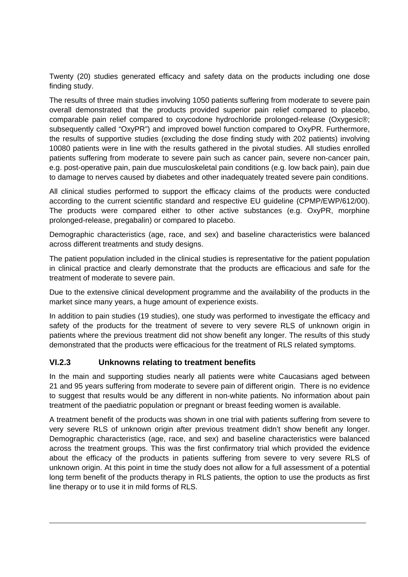Twenty (20) studies generated efficacy and safety data on the products including one dose finding study.

The results of three main studies involving 1050 patients suffering from moderate to severe pain overall demonstrated that the products provided superior pain relief compared to placebo, comparable pain relief compared to oxycodone hydrochloride prolonged-release (Oxygesic®; subsequently called "OxyPR") and improved bowel function compared to OxyPR. Furthermore, the results of supportive studies (excluding the dose finding study with 202 patients) involving 10080 patients were in line with the results gathered in the pivotal studies. All studies enrolled patients suffering from moderate to severe pain such as cancer pain, severe non-cancer pain, e.g. post-operative pain, pain due musculoskeletal pain conditions (e.g. low back pain), pain due to damage to nerves caused by diabetes and other inadequately treated severe pain conditions.

All clinical studies performed to support the efficacy claims of the products were conducted according to the current scientific standard and respective EU guideline (CPMP/EWP/612/00). The products were compared either to other active substances (e.g. OxyPR, morphine prolonged-release, pregabalin) or compared to placebo.

Demographic characteristics (age, race, and sex) and baseline characteristics were balanced across different treatments and study designs.

The patient population included in the clinical studies is representative for the patient population in clinical practice and clearly demonstrate that the products are efficacious and safe for the treatment of moderate to severe pain.

Due to the extensive clinical development programme and the availability of the products in the market since many years, a huge amount of experience exists.

In addition to pain studies (19 studies), one study was performed to investigate the efficacy and safety of the products for the treatment of severe to very severe RLS of unknown origin in patients where the previous treatment did not show benefit any longer. The results of this study demonstrated that the products were efficacious for the treatment of RLS related symptoms.

### **VI.2.3 Unknowns relating to treatment benefits**

In the main and supporting studies nearly all patients were white Caucasians aged between 21 and 95 years suffering from moderate to severe pain of different origin. There is no evidence to suggest that results would be any different in non-white patients. No information about pain treatment of the paediatric population or pregnant or breast feeding women is available.

A treatment benefit of the products was shown in one trial with patients suffering from severe to very severe RLS of unknown origin after previous treatment didn't show benefit any longer. Demographic characteristics (age, race, and sex) and baseline characteristics were balanced across the treatment groups. This was the first confirmatory trial which provided the evidence about the efficacy of the products in patients suffering from severe to very severe RLS of unknown origin. At this point in time the study does not allow for a full assessment of a potential long term benefit of the products therapy in RLS patients, the option to use the products as first line therapy or to use it in mild forms of RLS.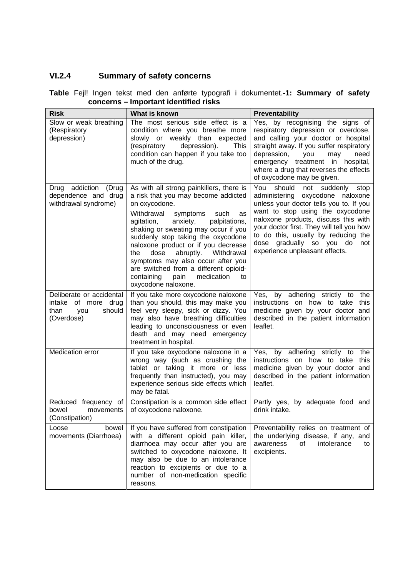# **VI.2.4 Summary of safety concerns**

| <b>Risk</b>                                                                               | What is known                                                                                                                                                                                                                                                                                                                                                                                                                                                                                     | <b>Preventability</b>                                                                                                                                                                                                                                                                                                                                        |
|-------------------------------------------------------------------------------------------|---------------------------------------------------------------------------------------------------------------------------------------------------------------------------------------------------------------------------------------------------------------------------------------------------------------------------------------------------------------------------------------------------------------------------------------------------------------------------------------------------|--------------------------------------------------------------------------------------------------------------------------------------------------------------------------------------------------------------------------------------------------------------------------------------------------------------------------------------------------------------|
| Slow or weak breathing<br>(Respiratory<br>depression)                                     | The most serious side effect is a<br>condition where you breathe more<br>slowly or weakly than expected<br>(respiratory<br>depression).<br>This<br>condition can happen if you take too<br>much of the drug.                                                                                                                                                                                                                                                                                      | Yes, by recognising the signs of<br>respiratory depression or overdose,<br>and calling your doctor or hospital<br>straight away. If you suffer respiratory<br>depression,<br>you<br>may<br>need<br>emergency treatment in hospital,<br>where a drug that reverses the effects<br>of oxycodone may be given.                                                  |
| Drug addiction<br>(Drug<br>dependence and drug<br>withdrawal syndrome)                    | As with all strong painkillers, there is<br>a risk that you may become addicted<br>on oxycodone.<br>Withdrawal<br>symptoms<br>such<br>as<br>palpitations,<br>agitation,<br>anxiety,<br>shaking or sweating may occur if you<br>suddenly stop taking the oxycodone<br>naloxone product or if you decrease<br>dose<br>abruptly.<br>Withdrawal<br>the<br>symptoms may also occur after you<br>are switched from a different opioid-<br>containing<br>medication<br>pain<br>to<br>oxycodone naloxone. | You<br>should<br>not<br>suddenly<br>stop<br>administering oxycodone naloxone<br>unless your doctor tells you to. If you<br>want to stop using the oxycodone<br>naloxone products, discuss this with<br>your doctor first. They will tell you how<br>to do this, usually by reducing the<br>dose gradually so you do<br>not<br>experience unpleasant effects. |
| Deliberate or accidental<br>intake<br>of more drug<br>should<br>than<br>you<br>(Overdose) | If you take more oxycodone naloxone<br>than you should, this may make you<br>feel very sleepy, sick or dizzy. You<br>may also have breathing difficulties<br>leading to unconsciousness or even<br>death and may need emergency<br>treatment in hospital.                                                                                                                                                                                                                                         | Yes, by adhering strictly to<br>the<br>instructions on how to take<br>this<br>medicine given by your doctor and<br>described in the patient information<br>leaflet.                                                                                                                                                                                          |
| Medication error                                                                          | If you take oxycodone naloxone in a<br>wrong way (such as crushing the<br>tablet or taking it more or less<br>frequently than instructed), you may<br>experience serious side effects which<br>may be fatal.                                                                                                                                                                                                                                                                                      | Yes, by adhering strictly to<br>the<br>instructions on how to take<br>this<br>medicine given by your doctor and<br>described in the patient information<br>leaflet.                                                                                                                                                                                          |
| Reduced frequency of<br>movements<br>bowel<br>(Constipation)                              | Constipation is a common side effect<br>of oxycodone naloxone.                                                                                                                                                                                                                                                                                                                                                                                                                                    | Partly yes, by adequate food and<br>drink intake.                                                                                                                                                                                                                                                                                                            |
| bowel<br>Loose<br>movements (Diarrhoea)                                                   | If you have suffered from constipation<br>with a different opioid pain killer,<br>diarrhoea may occur after you are<br>switched to oxycodone naloxone. It<br>may also be due to an intolerance<br>reaction to excipients or due to a<br>number of non-medication specific<br>reasons.                                                                                                                                                                                                             | Preventability relies on treatment of<br>the underlying disease, if any, and<br>awareness<br>of<br>intolerance<br>to<br>excipients.                                                                                                                                                                                                                          |

#### **Table** Fejl! Ingen tekst med den anførte typografi i dokumentet.**-1: Summary of safety concerns – Important identified risks**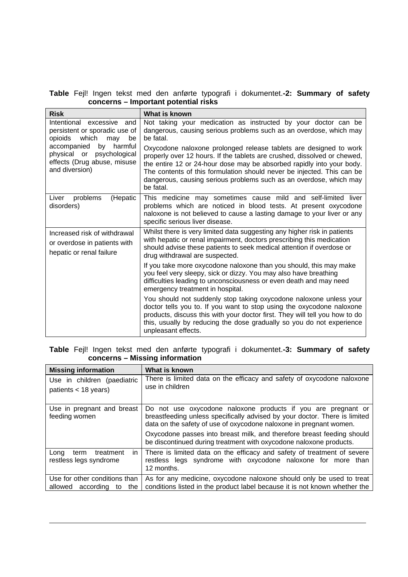#### **Table** Fejl! Ingen tekst med den anførte typografi i dokumentet.**-2: Summary of safety concerns – Important potential risks**

| <b>Risk</b>                                                                                                                                                                             | What is known                                                                                                                                                                                                                                                                                                                                                               |
|-----------------------------------------------------------------------------------------------------------------------------------------------------------------------------------------|-----------------------------------------------------------------------------------------------------------------------------------------------------------------------------------------------------------------------------------------------------------------------------------------------------------------------------------------------------------------------------|
| Intentional excessive and<br>persistent or sporadic use of<br>opioids which<br>may<br>be<br>by<br>accompanied<br>harmful<br>psychological<br>physical or<br>effects (Drug abuse, misuse | Not taking your medication as instructed by your doctor can be<br>dangerous, causing serious problems such as an overdose, which may<br>be fatal.<br>Oxycodone naloxone prolonged release tablets are designed to work<br>properly over 12 hours. If the tablets are crushed, dissolved or chewed,<br>the entire 12 or 24-hour dose may be absorbed rapidly into your body. |
| and diversion)                                                                                                                                                                          | The contents of this formulation should never be injected. This can be<br>dangerous, causing serious problems such as an overdose, which may<br>be fatal.                                                                                                                                                                                                                   |
| problems<br>(Hepatic<br>Liver<br>disorders)                                                                                                                                             | This medicine may sometimes cause mild and self-limited liver<br>problems which are noticed in blood tests. At present oxycodone<br>naloxone is not believed to cause a lasting damage to your liver or any<br>specific serious liver disease.                                                                                                                              |
| Increased risk of withdrawal<br>or overdose in patients with<br>hepatic or renal failure                                                                                                | Whilst there is very limited data suggesting any higher risk in patients<br>with hepatic or renal impairment, doctors prescribing this medication<br>should advise these patients to seek medical attention if overdose or<br>drug withdrawal are suspected.                                                                                                                |
|                                                                                                                                                                                         | If you take more oxycodone naloxone than you should, this may make<br>you feel very sleepy, sick or dizzy. You may also have breathing<br>difficulties leading to unconsciousness or even death and may need<br>emergency treatment in hospital.                                                                                                                            |
|                                                                                                                                                                                         | You should not suddenly stop taking oxycodone naloxone unless your<br>doctor tells you to. If you want to stop using the oxycodone naloxone<br>products, discuss this with your doctor first. They will tell you how to do<br>this, usually by reducing the dose gradually so you do not experience<br>unpleasant effects.                                                  |

#### **Table** Fejl! Ingen tekst med den anførte typografi i dokumentet.**-3: Summary of safety concerns – Missing information**

| <b>Missing information</b>                                   | What is known                                                                                                                                                                                                                                                                                                                                                     |
|--------------------------------------------------------------|-------------------------------------------------------------------------------------------------------------------------------------------------------------------------------------------------------------------------------------------------------------------------------------------------------------------------------------------------------------------|
| Use in children (paediatric<br>patients $<$ 18 years)        | There is limited data on the efficacy and safety of oxycodone naloxone<br>use in children                                                                                                                                                                                                                                                                         |
| Use in pregnant and breast<br>feeding women                  | Do not use oxycodone naloxone products if you are pregnant or<br>breastfeeding unless specifically advised by your doctor. There is limited<br>data on the safety of use of oxycodone naloxone in pregnant women.<br>Oxycodone passes into breast milk, and therefore breast feeding should<br>be discontinued during treatment with oxycodone naloxone products. |
| treatment<br>Lona<br>term<br>in.<br>restless legs syndrome   | There is limited data on the efficacy and safety of treatment of severe<br>restless legs syndrome with oxycodone naloxone for more than<br>12 months.                                                                                                                                                                                                             |
| Use for other conditions than<br>allowed according to<br>the | As for any medicine, oxycodone naloxone should only be used to treat<br>conditions listed in the product label because it is not known whether the                                                                                                                                                                                                                |